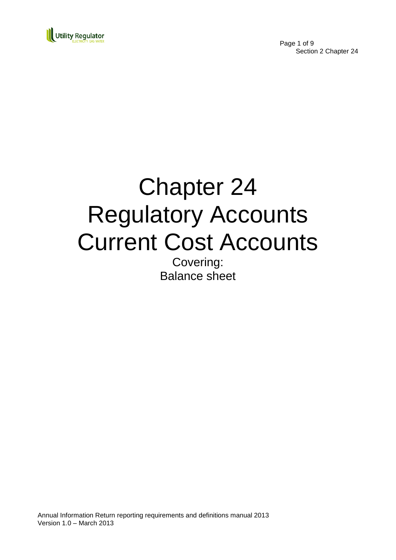

Page 1 of 9 Section 2 Chapter 24

# Chapter 24 Regulatory Accounts Current Cost Accounts

Covering: Balance sheet

Annual Information Return reporting requirements and definitions manual 2013 Version 1.0 – March 2013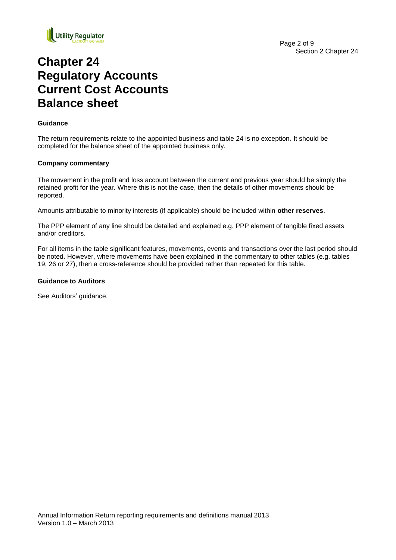

## **Chapter 24 Regulatory Accounts Current Cost Accounts Balance sheet**

#### **Guidance**

The return requirements relate to the appointed business and table 24 is no exception. It should be completed for the balance sheet of the appointed business only.

#### **Company commentary**

The movement in the profit and loss account between the current and previous year should be simply the retained profit for the year. Where this is not the case, then the details of other movements should be reported.

Amounts attributable to minority interests (if applicable) should be included within **other reserves**.

The PPP element of any line should be detailed and explained e.g. PPP element of tangible fixed assets and/or creditors.

For all items in the table significant features, movements, events and transactions over the last period should be noted. However, where movements have been explained in the commentary to other tables (e.g. tables 19, 26 or 27), then a cross-reference should be provided rather than repeated for this table.

#### **Guidance to Auditors**

See Auditors' guidance.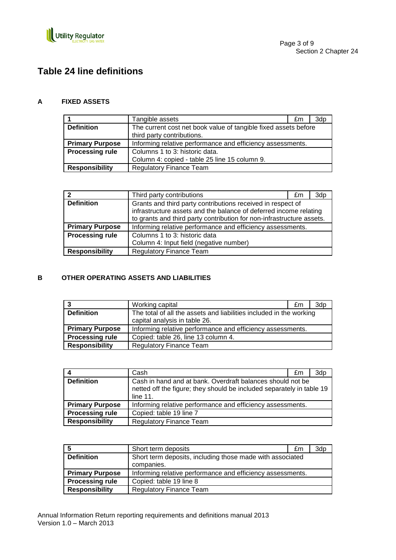

## **Table 24 line definitions**

#### **A FIXED ASSETS**

|                        | Tangible assets                                                                               | £m | 3dp |
|------------------------|-----------------------------------------------------------------------------------------------|----|-----|
| <b>Definition</b>      | The current cost net book value of tangible fixed assets before<br>third party contributions. |    |     |
| <b>Primary Purpose</b> | Informing relative performance and efficiency assessments.                                    |    |     |
| <b>Processing rule</b> | Columns 1 to 3: historic data.                                                                |    |     |
|                        | Column 4: copied - table 25 line 15 column 9.                                                 |    |     |
| <b>Responsibility</b>  | <b>Regulatory Finance Team</b>                                                                |    |     |

| າ                      | Third party contributions                                                                                                                                                                                 | £m | 3d <sub>p</sub> |
|------------------------|-----------------------------------------------------------------------------------------------------------------------------------------------------------------------------------------------------------|----|-----------------|
| <b>Definition</b>      | Grants and third party contributions received in respect of<br>infrastructure assets and the balance of deferred income relating<br>to grants and third party contribution for non-infrastructure assets. |    |                 |
| <b>Primary Purpose</b> | Informing relative performance and efficiency assessments.                                                                                                                                                |    |                 |
| <b>Processing rule</b> | Columns 1 to 3: historic data<br>Column 4: Input field (negative number)                                                                                                                                  |    |                 |
| <b>Responsibility</b>  | <b>Regulatory Finance Team</b>                                                                                                                                                                            |    |                 |

#### **B OTHER OPERATING ASSETS AND LIABILITIES**

|                        | Working capital                                                     | £m | 3dp |
|------------------------|---------------------------------------------------------------------|----|-----|
| <b>Definition</b>      | The total of all the assets and liabilities included in the working |    |     |
|                        | capital analysis in table 26.                                       |    |     |
| <b>Primary Purpose</b> | Informing relative performance and efficiency assessments.          |    |     |
| <b>Processing rule</b> | Copied: table 26, line 13 column 4.                                 |    |     |
| <b>Responsibility</b>  | <b>Regulatory Finance Team</b>                                      |    |     |

| 4                      | Cash                                                                                                                                               | £m | 3dp |
|------------------------|----------------------------------------------------------------------------------------------------------------------------------------------------|----|-----|
| <b>Definition</b>      | Cash in hand and at bank. Overdraft balances should not be<br>netted off the figure; they should be included separately in table 19<br>line $11$ . |    |     |
| <b>Primary Purpose</b> | Informing relative performance and efficiency assessments.                                                                                         |    |     |
| <b>Processing rule</b> | Copied: table 19 line 7                                                                                                                            |    |     |
| <b>Responsibility</b>  | <b>Regulatory Finance Team</b>                                                                                                                     |    |     |

|                        | Short term deposits                                        | £m | 3dp |
|------------------------|------------------------------------------------------------|----|-----|
| <b>Definition</b>      | Short term deposits, including those made with associated  |    |     |
|                        | companies.                                                 |    |     |
| <b>Primary Purpose</b> | Informing relative performance and efficiency assessments. |    |     |
| <b>Processing rule</b> | Copied: table 19 line 8                                    |    |     |
| <b>Responsibility</b>  | <b>Regulatory Finance Team</b>                             |    |     |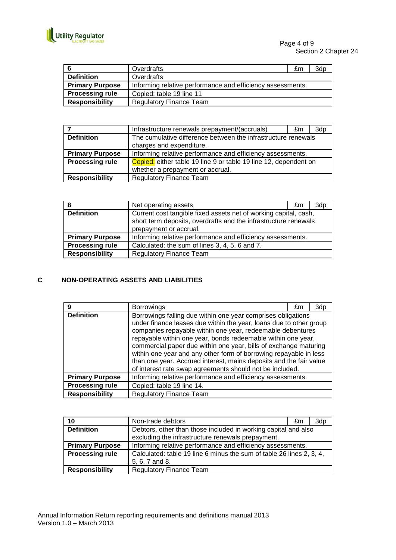

Page 4 of 9 Section 2 Chapter 24

| l 6                    | Overdrafts                                                 | £m | 3dp |
|------------------------|------------------------------------------------------------|----|-----|
| <b>Definition</b>      | Overdrafts                                                 |    |     |
| <b>Primary Purpose</b> | Informing relative performance and efficiency assessments. |    |     |
| <b>Processing rule</b> | Copied: table 19 line 11                                   |    |     |
| <b>Responsibility</b>  | <b>Regulatory Finance Team</b>                             |    |     |

|                        | Infrastructure renewals prepayment/(accruals)                    | £m | 3dp |
|------------------------|------------------------------------------------------------------|----|-----|
| <b>Definition</b>      | The cumulative difference between the infrastructure renewals    |    |     |
|                        | charges and expenditure.                                         |    |     |
| <b>Primary Purpose</b> | Informing relative performance and efficiency assessments.       |    |     |
| <b>Processing rule</b> | Copied: either table 19 line 9 or table 19 line 12, dependent on |    |     |
|                        | whether a prepayment or accrual.                                 |    |     |
| <b>Responsibility</b>  | <b>Regulatory Finance Team</b>                                   |    |     |

| 8                      | Net operating assets                                                                                                                                          | £m | 3dp |
|------------------------|---------------------------------------------------------------------------------------------------------------------------------------------------------------|----|-----|
| <b>Definition</b>      | Current cost tangible fixed assets net of working capital, cash,<br>short term deposits, overdrafts and the infrastructure renewals<br>prepayment or accrual. |    |     |
| <b>Primary Purpose</b> | Informing relative performance and efficiency assessments.                                                                                                    |    |     |
| <b>Processing rule</b> | Calculated: the sum of lines 3, 4, 5, 6 and 7.                                                                                                                |    |     |
| <b>Responsibility</b>  | <b>Regulatory Finance Team</b>                                                                                                                                |    |     |

#### **C NON-OPERATING ASSETS AND LIABILITIES**

| 9                      | <b>Borrowings</b>                                                                                                                                                                                                                                                                                                                                                                                                                                                                                                                           | £m | 3dn |
|------------------------|---------------------------------------------------------------------------------------------------------------------------------------------------------------------------------------------------------------------------------------------------------------------------------------------------------------------------------------------------------------------------------------------------------------------------------------------------------------------------------------------------------------------------------------------|----|-----|
| <b>Definition</b>      | Borrowings falling due within one year comprises obligations<br>under finance leases due within the year, loans due to other group<br>companies repayable within one year, redeemable debentures<br>repayable within one year, bonds redeemable within one year,<br>commercial paper due within one year, bills of exchange maturing<br>within one year and any other form of borrowing repayable in less<br>than one year. Accrued interest, mains deposits and the fair value<br>of interest rate swap agreements should not be included. |    |     |
| <b>Primary Purpose</b> | Informing relative performance and efficiency assessments.                                                                                                                                                                                                                                                                                                                                                                                                                                                                                  |    |     |
| <b>Processing rule</b> | Copied: table 19 line 14.                                                                                                                                                                                                                                                                                                                                                                                                                                                                                                                   |    |     |
| <b>Responsibility</b>  | <b>Regulatory Finance Team</b>                                                                                                                                                                                                                                                                                                                                                                                                                                                                                                              |    |     |

| 10                     | Non-trade debtors                                                    | £m | 3dp |
|------------------------|----------------------------------------------------------------------|----|-----|
| <b>Definition</b>      | Debtors, other than those included in working capital and also       |    |     |
|                        | excluding the infrastructure renewals prepayment.                    |    |     |
| <b>Primary Purpose</b> | Informing relative performance and efficiency assessments.           |    |     |
| <b>Processing rule</b> | Calculated: table 19 line 6 minus the sum of table 26 lines 2, 3, 4, |    |     |
|                        | 5, 6, 7 and 8.                                                       |    |     |
| <b>Responsibility</b>  | <b>Regulatory Finance Team</b>                                       |    |     |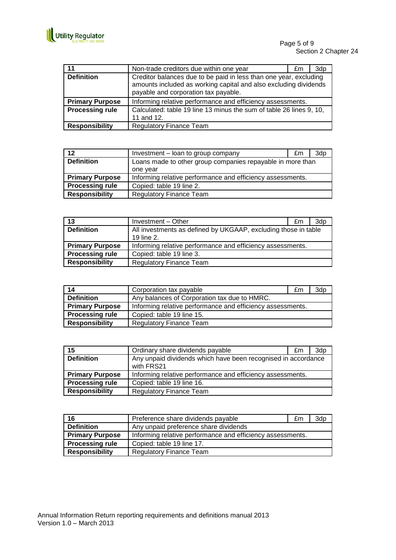

| 11                     | Non-trade creditors due within one year                                                                                                                                       | £m | 3dp |
|------------------------|-------------------------------------------------------------------------------------------------------------------------------------------------------------------------------|----|-----|
| <b>Definition</b>      | Creditor balances due to be paid in less than one year, excluding<br>amounts included as working capital and also excluding dividends<br>payable and corporation tax payable. |    |     |
| <b>Primary Purpose</b> | Informing relative performance and efficiency assessments.                                                                                                                    |    |     |
| <b>Processing rule</b> | Calculated: table 19 line 13 minus the sum of table 26 lines 9, 10,<br>11 and 12.                                                                                             |    |     |
| <b>Responsibility</b>  | <b>Regulatory Finance Team</b>                                                                                                                                                |    |     |

| 12                     | Investment - loan to group company                         | £m | 3d <sub>p</sub> |
|------------------------|------------------------------------------------------------|----|-----------------|
| <b>Definition</b>      | Loans made to other group companies repayable in more than |    |                 |
|                        | one year                                                   |    |                 |
| <b>Primary Purpose</b> | Informing relative performance and efficiency assessments. |    |                 |
| <b>Processing rule</b> | Copied: table 19 line 2.                                   |    |                 |
| <b>Responsibility</b>  | <b>Regulatory Finance Team</b>                             |    |                 |

| 13                     | Investment - Other                                             | £m | 3dp |
|------------------------|----------------------------------------------------------------|----|-----|
| <b>Definition</b>      | All investments as defined by UKGAAP, excluding those in table |    |     |
|                        | 19 line 2.                                                     |    |     |
| <b>Primary Purpose</b> | Informing relative performance and efficiency assessments.     |    |     |
| <b>Processing rule</b> | Copied: table 19 line 3.                                       |    |     |
| <b>Responsibility</b>  | <b>Regulatory Finance Team</b>                                 |    |     |

| 14                     | Corporation tax payable                                    | £m | 3d <sub>p</sub> |
|------------------------|------------------------------------------------------------|----|-----------------|
| <b>Definition</b>      | Any balances of Corporation tax due to HMRC.               |    |                 |
| <b>Primary Purpose</b> | Informing relative performance and efficiency assessments. |    |                 |
| <b>Processing rule</b> | Copied: table 19 line 15.                                  |    |                 |
| <b>Responsibility</b>  | <b>Regulatory Finance Team</b>                             |    |                 |

| 15                     | Ordinary share dividends payable                              | £m. | 3d <sub>p</sub> |
|------------------------|---------------------------------------------------------------|-----|-----------------|
| <b>Definition</b>      | Any unpaid dividends which have been recognised in accordance |     |                 |
|                        | with FRS21                                                    |     |                 |
| <b>Primary Purpose</b> | Informing relative performance and efficiency assessments.    |     |                 |
| <b>Processing rule</b> | Copied: table 19 line 16.                                     |     |                 |
| <b>Responsibility</b>  | <b>Regulatory Finance Team</b>                                |     |                 |

| 16                     | Preference share dividends payable                         | £m | 3dp |
|------------------------|------------------------------------------------------------|----|-----|
| <b>Definition</b>      | Any unpaid preference share dividends                      |    |     |
| <b>Primary Purpose</b> | Informing relative performance and efficiency assessments. |    |     |
| <b>Processing rule</b> | Copied: table 19 line 17.                                  |    |     |
| <b>Responsibility</b>  | <b>Regulatory Finance Team</b>                             |    |     |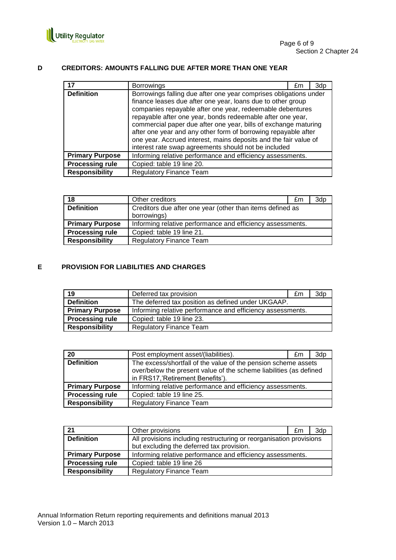

#### **D CREDITORS: AMOUNTS FALLING DUE AFTER MORE THAN ONE YEAR**

|                        | <b>Borrowings</b>                                                                                                                                                                                                                                                                                                                                                                                                                                                                                                            | £m | 3dp |  |
|------------------------|------------------------------------------------------------------------------------------------------------------------------------------------------------------------------------------------------------------------------------------------------------------------------------------------------------------------------------------------------------------------------------------------------------------------------------------------------------------------------------------------------------------------------|----|-----|--|
| <b>Definition</b>      | Borrowings falling due after one year comprises obligations under<br>finance leases due after one year, loans due to other group<br>companies repayable after one year, redeemable debentures<br>repayable after one year, bonds redeemable after one year,<br>commercial paper due after one year, bills of exchange maturing<br>after one year and any other form of borrowing repayable after<br>one year. Accrued interest, mains deposits and the fair value of<br>interest rate swap agreements should not be included |    |     |  |
| <b>Primary Purpose</b> | Informing relative performance and efficiency assessments.                                                                                                                                                                                                                                                                                                                                                                                                                                                                   |    |     |  |
| <b>Processing rule</b> | Copied: table 19 line 20.                                                                                                                                                                                                                                                                                                                                                                                                                                                                                                    |    |     |  |
| <b>Responsibility</b>  | <b>Regulatory Finance Team</b>                                                                                                                                                                                                                                                                                                                                                                                                                                                                                               |    |     |  |

| 18                     | Other creditors                                            | £m | 3dp |
|------------------------|------------------------------------------------------------|----|-----|
| <b>Definition</b>      | Creditors due after one year (other than items defined as  |    |     |
|                        | borrowings)                                                |    |     |
| <b>Primary Purpose</b> | Informing relative performance and efficiency assessments. |    |     |
| <b>Processing rule</b> | Copied: table 19 line 21.                                  |    |     |
| <b>Responsibility</b>  | <b>Regulatory Finance Team</b>                             |    |     |

#### **E PROVISION FOR LIABILITIES AND CHARGES**

| 19                     | Deferred tax provision                                     | £m | 3dp |
|------------------------|------------------------------------------------------------|----|-----|
| <b>Definition</b>      | The deferred tax position as defined under UKGAAP.         |    |     |
| <b>Primary Purpose</b> | Informing relative performance and efficiency assessments. |    |     |
| <b>Processing rule</b> | Copied: table 19 line 23.                                  |    |     |
| <b>Responsibility</b>  | <b>Regulatory Finance Team</b>                             |    |     |

| 20                     | Post employment asset/(liabilities).                                                                                                                                     | £m. | 3d <sub>p</sub> |
|------------------------|--------------------------------------------------------------------------------------------------------------------------------------------------------------------------|-----|-----------------|
| <b>Definition</b>      | The excess/shortfall of the value of the pension scheme assets<br>over/below the present value of the scheme liabilities (as defined<br>in FRS17,'Retirement Benefits'). |     |                 |
| <b>Primary Purpose</b> | Informing relative performance and efficiency assessments.                                                                                                               |     |                 |
| <b>Processing rule</b> | Copied: table 19 line 25.                                                                                                                                                |     |                 |
| <b>Responsibility</b>  | <b>Regulatory Finance Team</b>                                                                                                                                           |     |                 |

| 21                     | Other provisions                                                    | £m | 3dp |
|------------------------|---------------------------------------------------------------------|----|-----|
| <b>Definition</b>      | All provisions including restructuring or reorganisation provisions |    |     |
|                        | but excluding the deferred tax provision.                           |    |     |
| <b>Primary Purpose</b> | Informing relative performance and efficiency assessments.          |    |     |
| <b>Processing rule</b> | Copied: table 19 line 26                                            |    |     |
| <b>Responsibility</b>  | <b>Regulatory Finance Team</b>                                      |    |     |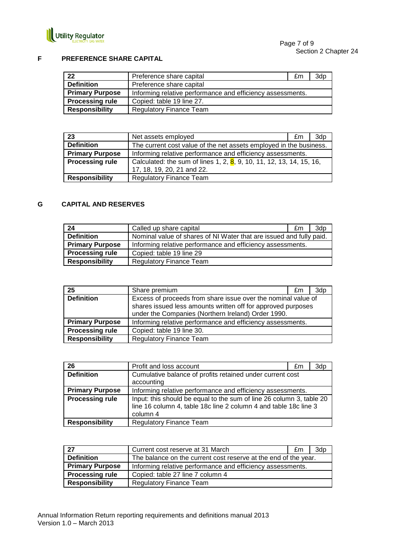

#### **F PREFERENCE SHARE CAPITAL**

| -22                    | Preference share capital                                   | £m | 3dp |
|------------------------|------------------------------------------------------------|----|-----|
| <b>Definition</b>      | Preference share capital                                   |    |     |
| <b>Primary Purpose</b> | Informing relative performance and efficiency assessments. |    |     |
| <b>Processing rule</b> | Copied: table 19 line 27.                                  |    |     |
| <b>Responsibility</b>  | <b>Regulatory Finance Team</b>                             |    |     |

| 23                     | Net assets employed                                                                                | £m | 3d <sub>p</sub> |
|------------------------|----------------------------------------------------------------------------------------------------|----|-----------------|
| <b>Definition</b>      | The current cost value of the net assets employed in the business.                                 |    |                 |
| <b>Primary Purpose</b> | Informing relative performance and efficiency assessments.                                         |    |                 |
| <b>Processing rule</b> | Calculated: the sum of lines 1, 2, 8, 9, 10, 11, 12, 13, 14, 15, 16,<br>17, 18, 19, 20, 21 and 22. |    |                 |
| <b>Responsibility</b>  | <b>Regulatory Finance Team</b>                                                                     |    |                 |

#### **G CAPITAL AND RESERVES**

| 24                     | Called up share capital                                             | £m | 3d <sub>p</sub> |
|------------------------|---------------------------------------------------------------------|----|-----------------|
| <b>Definition</b>      | Nominal value of shares of NI Water that are issued and fully paid. |    |                 |
| <b>Primary Purpose</b> | Informing relative performance and efficiency assessments.          |    |                 |
| <b>Processing rule</b> | Copied: table 19 line 29                                            |    |                 |
| <b>Responsibility</b>  | <b>Regulatory Finance Team</b>                                      |    |                 |

| 25                     | Share premium                                                                                                                                                                       | £m | 3d <sub>p</sub> |
|------------------------|-------------------------------------------------------------------------------------------------------------------------------------------------------------------------------------|----|-----------------|
| <b>Definition</b>      | Excess of proceeds from share issue over the nominal value of<br>shares issued less amounts written off for approved purposes<br>under the Companies (Northern Ireland) Order 1990. |    |                 |
| <b>Primary Purpose</b> | Informing relative performance and efficiency assessments.                                                                                                                          |    |                 |
| <b>Processing rule</b> | Copied: table 19 line 30.                                                                                                                                                           |    |                 |
| <b>Responsibility</b>  | <b>Regulatory Finance Team</b>                                                                                                                                                      |    |                 |

| 26                     | Profit and loss account                                                                                                                              | £m | 3dp |
|------------------------|------------------------------------------------------------------------------------------------------------------------------------------------------|----|-----|
| <b>Definition</b>      | Cumulative balance of profits retained under current cost                                                                                            |    |     |
|                        | accounting                                                                                                                                           |    |     |
| <b>Primary Purpose</b> | Informing relative performance and efficiency assessments.                                                                                           |    |     |
| <b>Processing rule</b> | Input: this should be equal to the sum of line 26 column 3, table 20<br>line 16 column 4, table 18c line 2 column 4 and table 18c line 3<br>column 4 |    |     |
| <b>Responsibility</b>  | <b>Regulatory Finance Team</b>                                                                                                                       |    |     |

| .27                    | Current cost reserve at 31 March                                | £m | 3dp |
|------------------------|-----------------------------------------------------------------|----|-----|
| <b>Definition</b>      | The balance on the current cost reserve at the end of the year. |    |     |
| <b>Primary Purpose</b> | Informing relative performance and efficiency assessments.      |    |     |
| <b>Processing rule</b> | Copied: table 27 line 7 column 4                                |    |     |
| <b>Responsibility</b>  | <b>Regulatory Finance Team</b>                                  |    |     |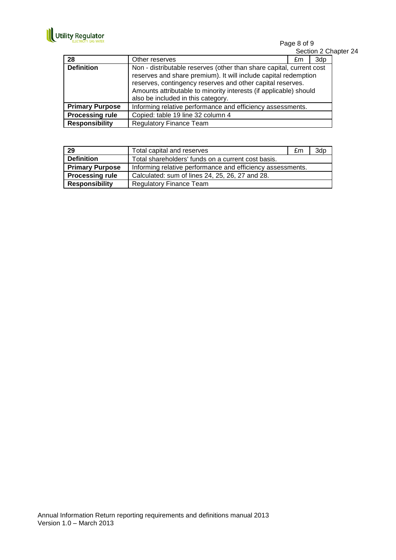

Page 8 of 9 Section 2 Chapter 24

| 28                     | Other reserves                                                                                                                                                                                                                                                                                                   | £m | 3dp |
|------------------------|------------------------------------------------------------------------------------------------------------------------------------------------------------------------------------------------------------------------------------------------------------------------------------------------------------------|----|-----|
| <b>Definition</b>      | Non - distributable reserves (other than share capital, current cost<br>reserves and share premium). It will include capital redemption<br>reserves, contingency reserves and other capital reserves.<br>Amounts attributable to minority interests (if applicable) should<br>also be included in this category. |    |     |
| <b>Primary Purpose</b> | Informing relative performance and efficiency assessments.                                                                                                                                                                                                                                                       |    |     |
| <b>Processing rule</b> | Copied: table 19 line 32 column 4                                                                                                                                                                                                                                                                                |    |     |
| <b>Responsibility</b>  | <b>Regulatory Finance Team</b>                                                                                                                                                                                                                                                                                   |    |     |

| 29                     | Total capital and reserves                                 | £m | 3dp |
|------------------------|------------------------------------------------------------|----|-----|
| <b>Definition</b>      | Total shareholders' funds on a current cost basis.         |    |     |
| <b>Primary Purpose</b> | Informing relative performance and efficiency assessments. |    |     |
| <b>Processing rule</b> | Calculated: sum of lines 24, 25, 26, 27 and 28.            |    |     |
| <b>Responsibility</b>  | <b>Regulatory Finance Team</b>                             |    |     |